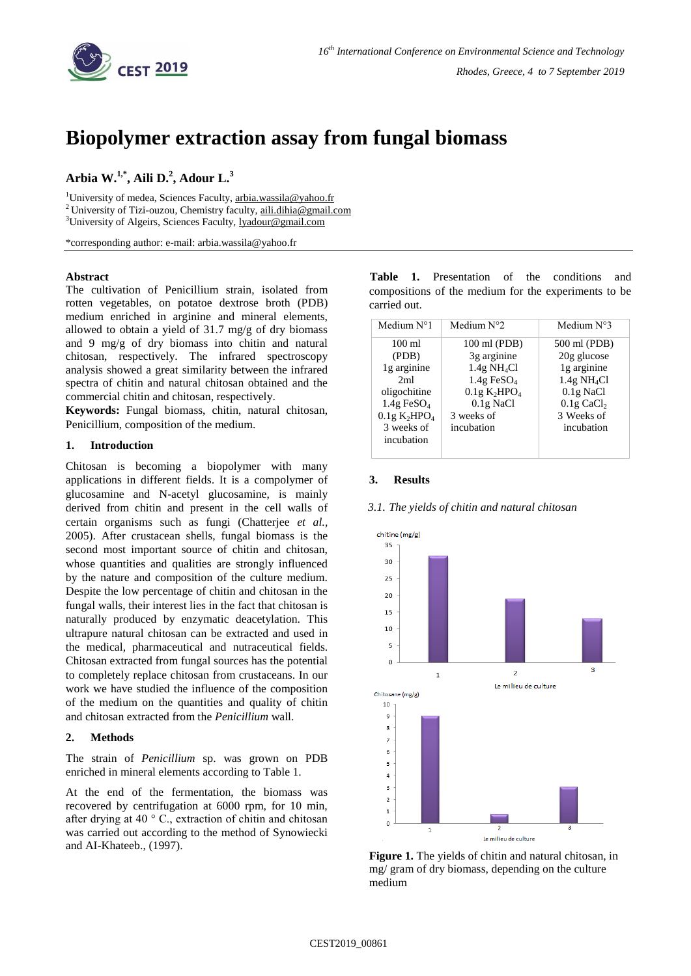

# **Biopolymer extraction assay from fungal biomass**

# **Arbia W. 1,\* , Aili D. 2 , Adour L. 3**

<sup>1</sup>University of medea, Sciences Faculty, [arbia.wassila@yahoo.fr](mailto:arbia.wassila@yahoo.fr) <sup>2</sup> University of Tizi-ouzou, Chemistry faculty, [aili.dihia@gmail.com](mailto:aili.dihia@gmail.com) <sup>3</sup>University of Algeirs, Sciences Faculty, [lyadour@gmail.com](mailto:lyadour@gmail.com)

\*corresponding author: e-mail: arbia.wassila@yahoo.fr

## **Abstract**

The cultivation of Penicillium strain, isolated from rotten vegetables, on potatoe dextrose broth (PDB) medium enriched in arginine and mineral elements, allowed to obtain a yield of 31.7 mg/g of dry biomass and 9 mg/g of dry biomass into chitin and natural chitosan, respectively. The infrared spectroscopy analysis showed a great similarity between the infrared spectra of chitin and natural chitosan obtained and the commercial chitin and chitosan, respectively.

**Keywords:** Fungal biomass, chitin, natural chitosan, Penicillium, composition of the medium.

#### **1. Introduction**

Chitosan is becoming a biopolymer with many applications in different fields. It is a compolymer of glucosamine and N-acetyl glucosamine, is mainly derived from chitin and present in the cell walls of certain organisms such as fungi (Chatterjee *et al.,* 2005). After crustacean shells, fungal biomass is the second most important source of chitin and chitosan, whose quantities and qualities are strongly influenced by the nature and composition of the culture medium. Despite the low percentage of chitin and chitosan in the fungal walls, their interest lies in the fact that chitosan is naturally produced by enzymatic deacetylation. This ultrapure natural chitosan can be extracted and used in the medical, pharmaceutical and nutraceutical fields. Chitosan extracted from fungal sources has the potential to completely replace chitosan from crustaceans. In our work we have studied the influence of the composition of the medium on the quantities and quality of chitin and chitosan extracted from the *Penicillium* wall.

# **2. Methods**

The strain of *Penicillium* sp. was grown on PDB enriched in mineral elements according to Table 1.

At the end of the fermentation, the biomass was recovered by centrifugation at 6000 rpm, for 10 min, after drying at 40 ° C., extraction of chitin and chitosan was carried out according to the method of Synowiecki and AI-Khateeb., (1997).

 **Table 1.** Presentation of the conditions and compositions of the medium for the experiments to be carried out.

| Medium $N^{\circ}1$                  | Medium $N^{\circ}$ ?                 | Medium $N^{\circ}3$       |
|--------------------------------------|--------------------------------------|---------------------------|
| $100 \text{ ml}$                     | 100 ml (PDB)                         | 500 ml (PDB)              |
| (PDB)                                | 3g arginine                          | 20g glucose               |
| 1g arginine                          | $1.4g \text{ NH}_4Cl$                | 1g arginine               |
| 2ml                                  | $1.4g$ FeSO <sub>4</sub>             | $1.4g \text{ NH}_4Cl$     |
| oligochitine                         | 0.1g K <sub>2</sub> HPO <sub>4</sub> | $0.1g$ NaCl               |
| $1.4g$ FeSO <sub>4</sub>             | $0.1g$ NaCl                          | $0.1$ g CaCl <sub>2</sub> |
| 0.1g K <sub>2</sub> HPO <sub>4</sub> | 3 weeks of                           | 3 Weeks of                |
| 3 weeks of                           | incubation                           | incubation                |
| incubation                           |                                      |                           |
|                                      |                                      |                           |

### **3. Results**



#### *3.1. The yields of chitin and natural chitosan*

**Figure 1.** The yields of chitin and natural chitosan, in mg/ gram of dry biomass, depending on the culture medium